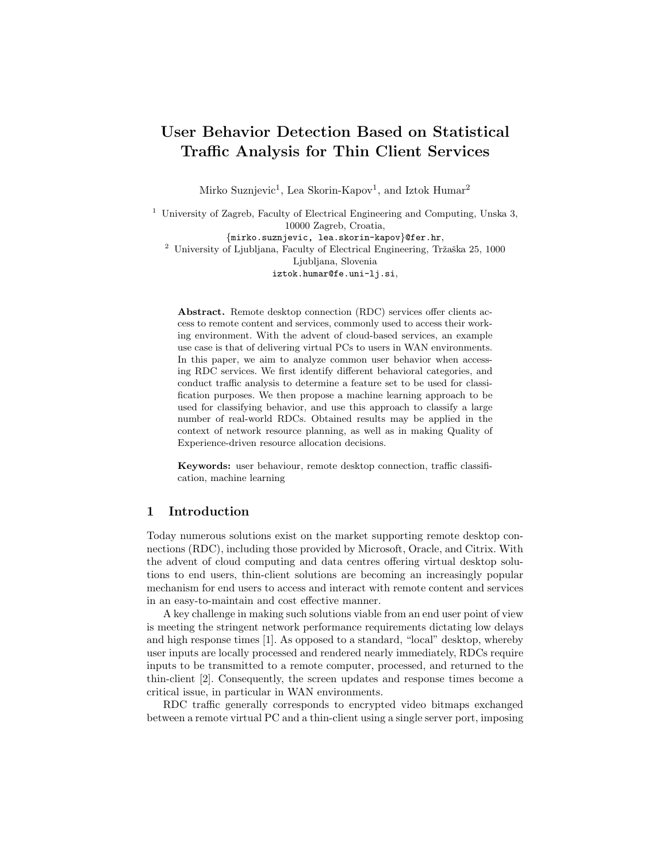# User Behavior Detection Based on Statistical Traffic Analysis for Thin Client Services

Mirko Suznjevic<sup>1</sup>, Lea Skorin-Kapov<sup>1</sup>, and Iztok Humar<sup>2</sup>

 $^{\rm 1}$  University of Zagreb, Faculty of Electrical Engineering and Computing, Unska 3, 10000 Zagreb, Croatia, {mirko.suznjevic, lea.skorin-kapov}@fer.hr,  $2$  University of Ljubljana, Faculty of Electrical Engineering, Tržaška  $25, 1000$ Ljubljana, Slovenia iztok.humar@fe.uni-lj.si,

Abstract. Remote desktop connection (RDC) services offer clients access to remote content and services, commonly used to access their working environment. With the advent of cloud-based services, an example use case is that of delivering virtual PCs to users in WAN environments. In this paper, we aim to analyze common user behavior when accessing RDC services. We first identify different behavioral categories, and conduct traffic analysis to determine a feature set to be used for classification purposes. We then propose a machine learning approach to be used for classifying behavior, and use this approach to classify a large number of real-world RDCs. Obtained results may be applied in the context of network resource planning, as well as in making Quality of Experience-driven resource allocation decisions.

Keywords: user behaviour, remote desktop connection, traffic classification, machine learning

# 1 Introduction

Today numerous solutions exist on the market supporting remote desktop connections (RDC), including those provided by Microsoft, Oracle, and Citrix. With the advent of cloud computing and data centres offering virtual desktop solutions to end users, thin-client solutions are becoming an increasingly popular mechanism for end users to access and interact with remote content and services in an easy-to-maintain and cost effective manner.

A key challenge in making such solutions viable from an end user point of view is meeting the stringent network performance requirements dictating low delays and high response times [1]. As opposed to a standard, "local" desktop, whereby user inputs are locally processed and rendered nearly immediately, RDCs require inputs to be transmitted to a remote computer, processed, and returned to the thin-client [2]. Consequently, the screen updates and response times become a critical issue, in particular in WAN environments.

RDC traffic generally corresponds to encrypted video bitmaps exchanged between a remote virtual PC and a thin-client using a single server port, imposing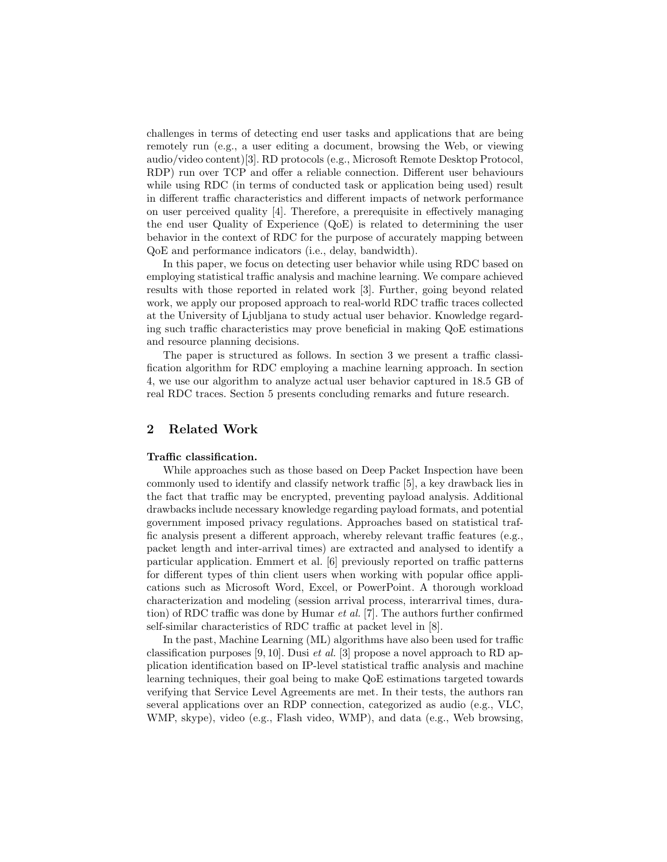challenges in terms of detecting end user tasks and applications that are being remotely run (e.g., a user editing a document, browsing the Web, or viewing audio/video content)[3]. RD protocols (e.g., Microsoft Remote Desktop Protocol, RDP) run over TCP and offer a reliable connection. Different user behaviours while using RDC (in terms of conducted task or application being used) result in different traffic characteristics and different impacts of network performance on user perceived quality [4]. Therefore, a prerequisite in effectively managing the end user Quality of Experience (QoE) is related to determining the user behavior in the context of RDC for the purpose of accurately mapping between QoE and performance indicators (i.e., delay, bandwidth).

In this paper, we focus on detecting user behavior while using RDC based on employing statistical traffic analysis and machine learning. We compare achieved results with those reported in related work [3]. Further, going beyond related work, we apply our proposed approach to real-world RDC traffic traces collected at the University of Ljubljana to study actual user behavior. Knowledge regarding such traffic characteristics may prove beneficial in making QoE estimations and resource planning decisions.

The paper is structured as follows. In section 3 we present a traffic classification algorithm for RDC employing a machine learning approach. In section 4, we use our algorithm to analyze actual user behavior captured in 18.5 GB of real RDC traces. Section 5 presents concluding remarks and future research.

## 2 Related Work

## Traffic classification.

While approaches such as those based on Deep Packet Inspection have been commonly used to identify and classify network traffic [5], a key drawback lies in the fact that traffic may be encrypted, preventing payload analysis. Additional drawbacks include necessary knowledge regarding payload formats, and potential government imposed privacy regulations. Approaches based on statistical traffic analysis present a different approach, whereby relevant traffic features (e.g., packet length and inter-arrival times) are extracted and analysed to identify a particular application. Emmert et al. [6] previously reported on traffic patterns for different types of thin client users when working with popular office applications such as Microsoft Word, Excel, or PowerPoint. A thorough workload characterization and modeling (session arrival process, interarrival times, duration) of RDC traffic was done by Humar *et al.* [7]. The authors further confirmed self-similar characteristics of RDC traffic at packet level in [8].

In the past, Machine Learning (ML) algorithms have also been used for traffic classification purposes  $[9, 10]$ . Dusi *et al.* [3] propose a novel approach to RD application identification based on IP-level statistical traffic analysis and machine learning techniques, their goal being to make QoE estimations targeted towards verifying that Service Level Agreements are met. In their tests, the authors ran several applications over an RDP connection, categorized as audio (e.g., VLC, WMP, skype), video (e.g., Flash video, WMP), and data (e.g., Web browsing,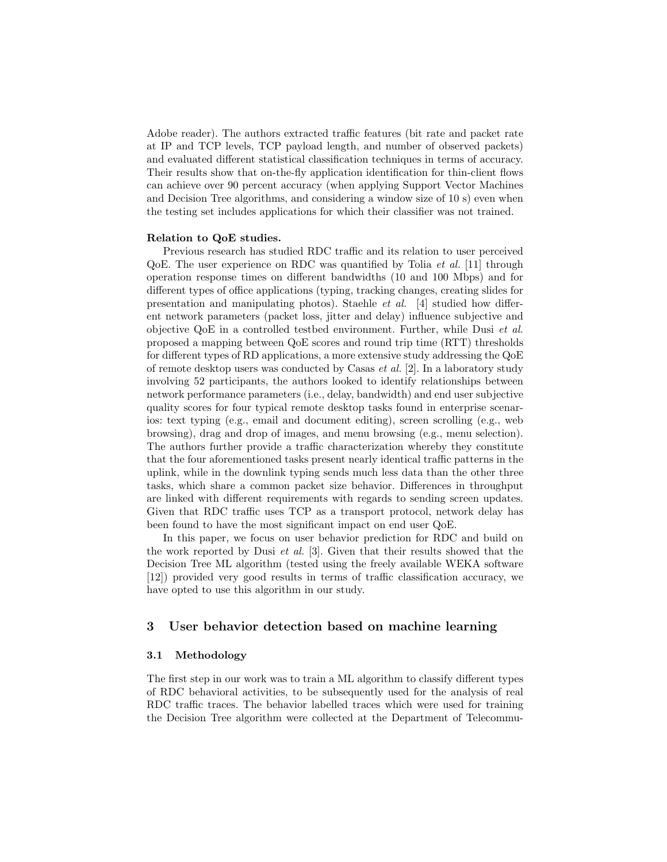Adobe reader). The authors extracted traffic features (bit rate and packet rate at IP and TCP levels, TCP payload length, and number of observed packets) and evaluated different statistical classification techniques in terms of accuracy. Their results show that on-the-fly application identification for thin-client flows can achieve over 90 percent accuracy (when applying Support Vector Machines and Decision Tree algorithms, and considering a window size of 10 s) even when the testing set includes applications for which their classifier was not trained.

## Relation to QoE studies.

Previous research has studied RDC traffic and its relation to user perceived QoE. The user experience on RDC was quantified by Tolia et al. [11] through operation response times on different bandwidths (10 and 100 Mbps) and for different types of office applications (typing, tracking changes, creating slides for presentation and manipulating photos). Staehle et al. [4] studied how different network parameters (packet loss, jitter and delay) influence subjective and objective QoE in a controlled testbed environment. Further, while Dusi et al. proposed a mapping between QoE scores and round trip time (RTT) thresholds for different types of RD applications, a more extensive study addressing the QoE of remote desktop users was conducted by Casas et al. [2]. In a laboratory study involving 52 participants, the authors looked to identify relationships between network performance parameters (i.e., delay, bandwidth) and end user subjective quality scores for four typical remote desktop tasks found in enterprise scenarios: text typing (e.g., email and document editing), screen scrolling (e.g., web browsing), drag and drop of images, and menu browsing (e.g., menu selection). The authors further provide a traffic characterization whereby they constitute that the four aforementioned tasks present nearly identical traffic patterns in the uplink, while in the downlink typing sends much less data than the other three tasks, which share a common packet size behavior. Differences in throughput are linked with different requirements with regards to sending screen updates. Given that RDC traffic uses TCP as a transport protocol, network delay has been found to have the most significant impact on end user QoE.

In this paper, we focus on user behavior prediction for RDC and build on the work reported by Dusi et al. [3]. Given that their results showed that the Decision Tree ML algorithm (tested using the freely available WEKA software [12]) provided very good results in terms of traffic classification accuracy, we have opted to use this algorithm in our study.

# 3 User behavior detection based on machine learning

## 3.1 Methodology

The first step in our work was to train a ML algorithm to classify different types of RDC behavioral activities, to be subsequently used for the analysis of real RDC traffic traces. The behavior labelled traces which were used for training the Decision Tree algorithm were collected at the Department of Telecommu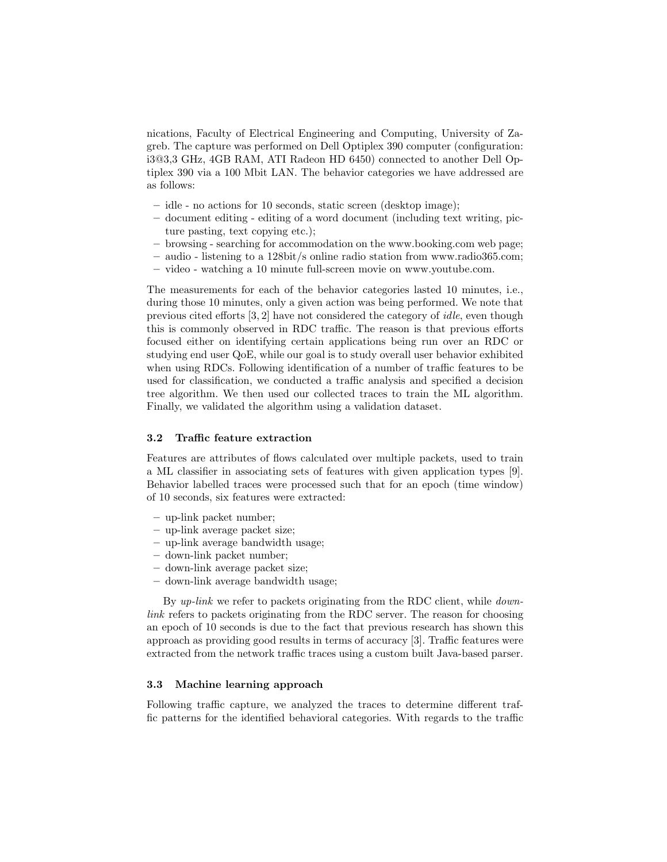nications, Faculty of Electrical Engineering and Computing, University of Zagreb. The capture was performed on Dell Optiplex 390 computer (configuration: i3@3,3 GHz, 4GB RAM, ATI Radeon HD 6450) connected to another Dell Optiplex 390 via a 100 Mbit LAN. The behavior categories we have addressed are as follows:

- idle no actions for 10 seconds, static screen (desktop image);
- document editing editing of a word document (including text writing, picture pasting, text copying etc.);
- browsing searching for accommodation on the www.booking.com web page;
- audio listening to a 128bit/s online radio station from www.radio365.com;
- video watching a 10 minute full-screen movie on www.youtube.com.

The measurements for each of the behavior categories lasted 10 minutes, i.e., during those 10 minutes, only a given action was being performed. We note that previous cited efforts [3, 2] have not considered the category of idle, even though this is commonly observed in RDC traffic. The reason is that previous efforts focused either on identifying certain applications being run over an RDC or studying end user QoE, while our goal is to study overall user behavior exhibited when using RDCs. Following identification of a number of traffic features to be used for classification, we conducted a traffic analysis and specified a decision tree algorithm. We then used our collected traces to train the ML algorithm. Finally, we validated the algorithm using a validation dataset.

#### 3.2 Traffic feature extraction

Features are attributes of flows calculated over multiple packets, used to train a ML classifier in associating sets of features with given application types [9]. Behavior labelled traces were processed such that for an epoch (time window) of 10 seconds, six features were extracted:

- up-link packet number;
- up-link average packet size;
- up-link average bandwidth usage;
- down-link packet number;
- down-link average packet size;
- down-link average bandwidth usage;

By up-link we refer to packets originating from the RDC client, while *down*link refers to packets originating from the RDC server. The reason for choosing an epoch of 10 seconds is due to the fact that previous research has shown this approach as providing good results in terms of accuracy [3]. Traffic features were extracted from the network traffic traces using a custom built Java-based parser.

## 3.3 Machine learning approach

Following traffic capture, we analyzed the traces to determine different traffic patterns for the identified behavioral categories. With regards to the traffic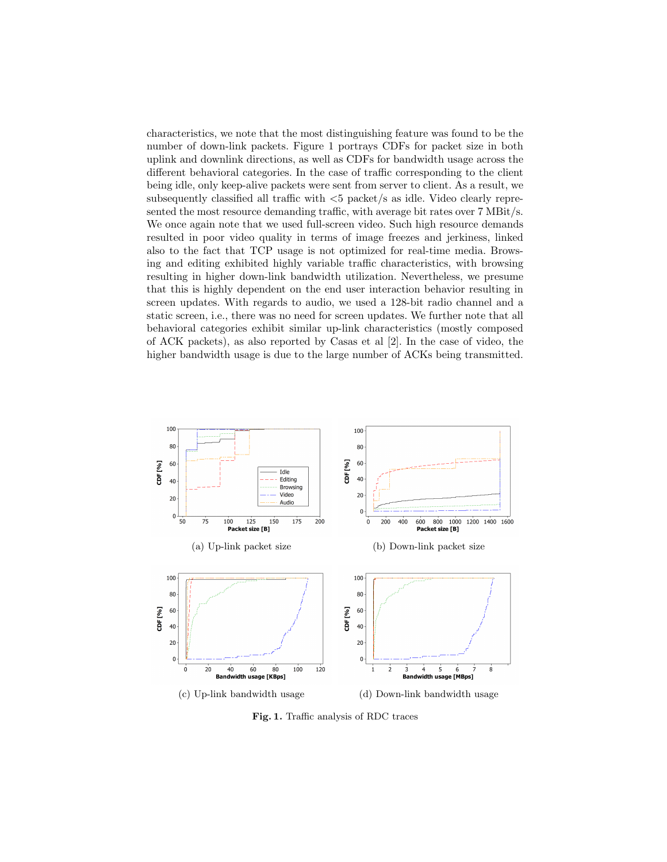characteristics, we note that the most distinguishing feature was found to be the number of down-link packets. Figure 1 portrays CDFs for packet size in both uplink and downlink directions, as well as CDFs for bandwidth usage across the different behavioral categories. In the case of traffic corresponding to the client being idle, only keep-alive packets were sent from server to client. As a result, we subsequently classified all traffic with  $\langle 5 \rangle$  packet/s as idle. Video clearly represented the most resource demanding traffic, with average bit rates over 7 MBit/s. We once again note that we used full-screen video. Such high resource demands resulted in poor video quality in terms of image freezes and jerkiness, linked also to the fact that TCP usage is not optimized for real-time media. Browsing and editing exhibited highly variable traffic characteristics, with browsing resulting in higher down-link bandwidth utilization. Nevertheless, we presume that this is highly dependent on the end user interaction behavior resulting in screen updates. With regards to audio, we used a 128-bit radio channel and a static screen, i.e., there was no need for screen updates. We further note that all behavioral categories exhibit similar up-link characteristics (mostly composed of ACK packets), as also reported by Casas et al [2]. In the case of video, the higher bandwidth usage is due to the large number of ACKs being transmitted.



Fig. 1. Traffic analysis of RDC traces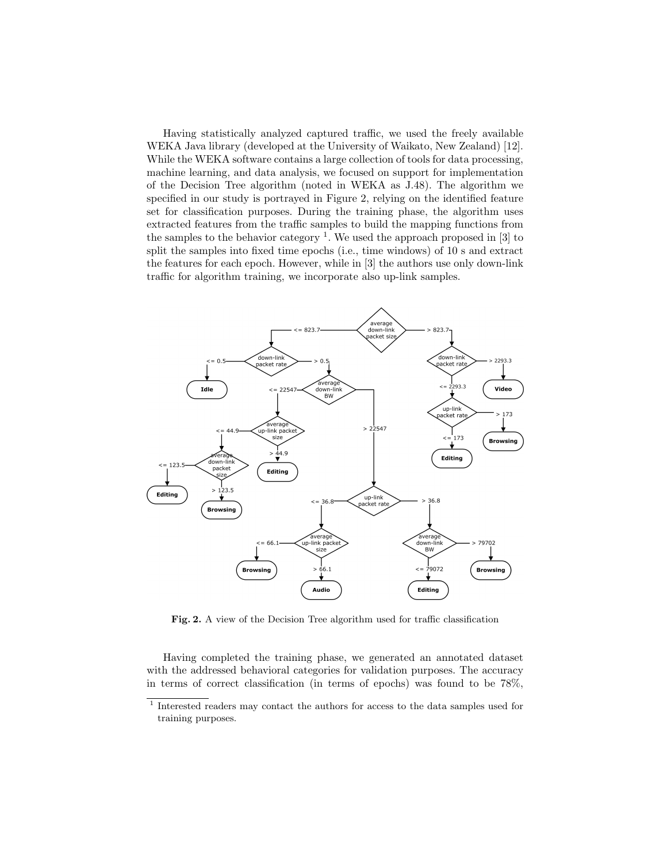Having statistically analyzed captured traffic, we used the freely available WEKA Java library (developed at the University of Waikato, New Zealand) [12]. While the WEKA software contains a large collection of tools for data processing, machine learning, and data analysis, we focused on support for implementation of the Decision Tree algorithm (noted in WEKA as J.48). The algorithm we specified in our study is portrayed in Figure 2, relying on the identified feature set for classification purposes. During the training phase, the algorithm uses extracted features from the traffic samples to build the mapping functions from the samples to the behavior category  $\frac{1}{1}$ . We used the approach proposed in [3] to split the samples into fixed time epochs (i.e., time windows) of 10 s and extract the features for each epoch. However, while in [3] the authors use only down-link traffic for algorithm training, we incorporate also up-link samples.



Fig. 2. A view of the Decision Tree algorithm used for traffic classification

Having completed the training phase, we generated an annotated dataset with the addressed behavioral categories for validation purposes. The accuracy in terms of correct classification (in terms of epochs) was found to be 78%,

<sup>&</sup>lt;sup>1</sup> Interested readers may contact the authors for access to the data samples used for training purposes.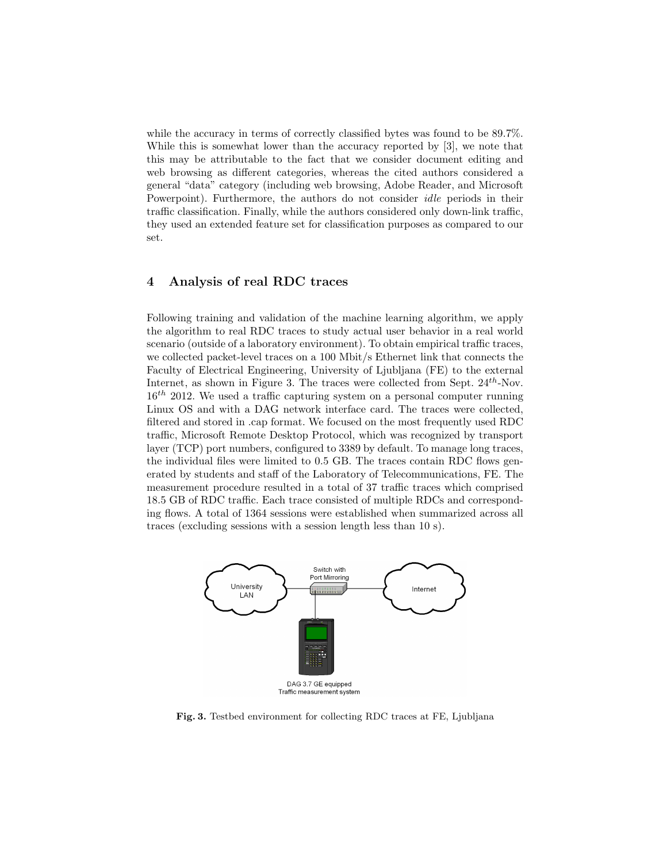while the accuracy in terms of correctly classified bytes was found to be 89.7%. While this is somewhat lower than the accuracy reported by [3], we note that this may be attributable to the fact that we consider document editing and web browsing as different categories, whereas the cited authors considered a general "data" category (including web browsing, Adobe Reader, and Microsoft Powerpoint). Furthermore, the authors do not consider idle periods in their traffic classification. Finally, while the authors considered only down-link traffic, they used an extended feature set for classification purposes as compared to our set.

# 4 Analysis of real RDC traces

Following training and validation of the machine learning algorithm, we apply the algorithm to real RDC traces to study actual user behavior in a real world scenario (outside of a laboratory environment). To obtain empirical traffic traces, we collected packet-level traces on a 100 Mbit/s Ethernet link that connects the Faculty of Electrical Engineering, University of Ljubljana (FE) to the external Internet, as shown in Figure 3. The traces were collected from Sept.  $24^{th}$ -Nov.  $16<sup>th</sup>$  2012. We used a traffic capturing system on a personal computer running Linux OS and with a DAG network interface card. The traces were collected, filtered and stored in .cap format. We focused on the most frequently used RDC traffic, Microsoft Remote Desktop Protocol, which was recognized by transport layer (TCP) port numbers, configured to 3389 by default. To manage long traces, the individual files were limited to 0.5 GB. The traces contain RDC flows generated by students and staff of the Laboratory of Telecommunications, FE. The measurement procedure resulted in a total of 37 traffic traces which comprised 18.5 GB of RDC traffic. Each trace consisted of multiple RDCs and corresponding flows. A total of 1364 sessions were established when summarized across all traces (excluding sessions with a session length less than 10 s).



Fig. 3. Testbed environment for collecting RDC traces at FE, Ljubljana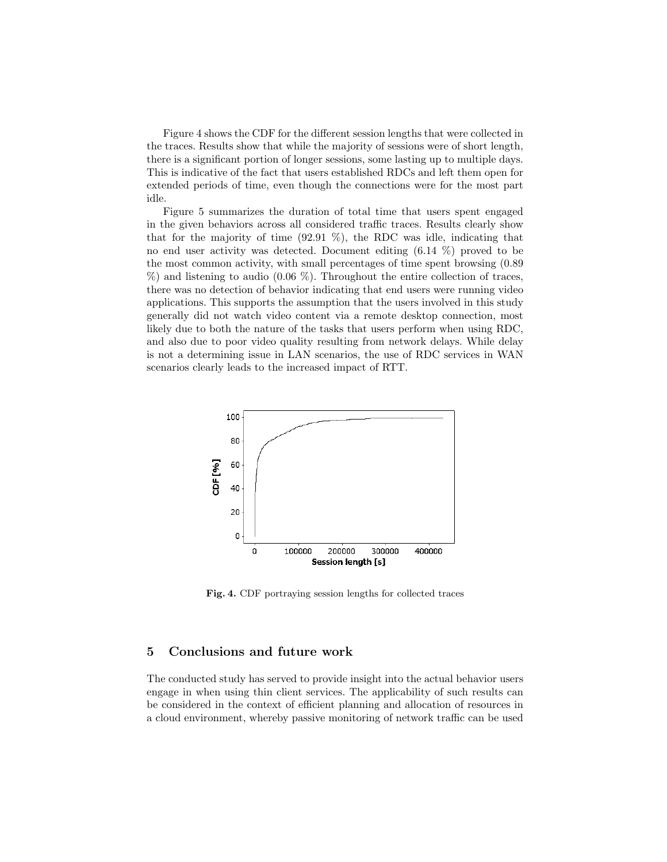Figure 4 shows the CDF for the different session lengths that were collected in the traces. Results show that while the majority of sessions were of short length, there is a significant portion of longer sessions, some lasting up to multiple days. This is indicative of the fact that users established RDCs and left them open for extended periods of time, even though the connections were for the most part idle.

Figure 5 summarizes the duration of total time that users spent engaged in the given behaviors across all considered traffic traces. Results clearly show that for the majority of time  $(92.91\%)$ , the RDC was idle, indicating that no end user activity was detected. Document editing (6.14 %) proved to be the most common activity, with small percentages of time spent browsing (0.89  $\%$ ) and listening to audio (0.06 %). Throughout the entire collection of traces, there was no detection of behavior indicating that end users were running video applications. This supports the assumption that the users involved in this study generally did not watch video content via a remote desktop connection, most likely due to both the nature of the tasks that users perform when using RDC, and also due to poor video quality resulting from network delays. While delay is not a determining issue in LAN scenarios, the use of RDC services in WAN scenarios clearly leads to the increased impact of RTT.



Fig. 4. CDF portraying session lengths for collected traces

# 5 Conclusions and future work

The conducted study has served to provide insight into the actual behavior users engage in when using thin client services. The applicability of such results can be considered in the context of efficient planning and allocation of resources in a cloud environment, whereby passive monitoring of network traffic can be used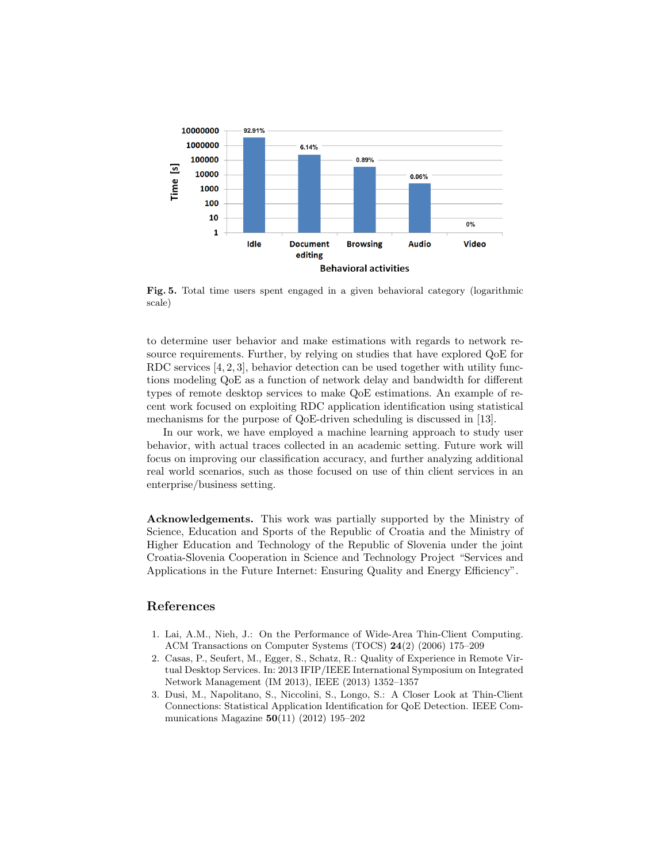

Fig. 5. Total time users spent engaged in a given behavioral category (logarithmic scale)

to determine user behavior and make estimations with regards to network resource requirements. Further, by relying on studies that have explored QoE for RDC services [4, 2, 3], behavior detection can be used together with utility functions modeling QoE as a function of network delay and bandwidth for different types of remote desktop services to make QoE estimations. An example of recent work focused on exploiting RDC application identification using statistical mechanisms for the purpose of QoE-driven scheduling is discussed in [13].

In our work, we have employed a machine learning approach to study user behavior, with actual traces collected in an academic setting. Future work will focus on improving our classification accuracy, and further analyzing additional real world scenarios, such as those focused on use of thin client services in an enterprise/business setting.

Acknowledgements. This work was partially supported by the Ministry of Science, Education and Sports of the Republic of Croatia and the Ministry of Higher Education and Technology of the Republic of Slovenia under the joint Croatia-Slovenia Cooperation in Science and Technology Project "Services and Applications in the Future Internet: Ensuring Quality and Energy Efficiency".

# References

- 1. Lai, A.M., Nieh, J.: On the Performance of Wide-Area Thin-Client Computing. ACM Transactions on Computer Systems (TOCS) 24(2) (2006) 175–209
- 2. Casas, P., Seufert, M., Egger, S., Schatz, R.: Quality of Experience in Remote Virtual Desktop Services. In: 2013 IFIP/IEEE International Symposium on Integrated Network Management (IM 2013), IEEE (2013) 1352–1357
- 3. Dusi, M., Napolitano, S., Niccolini, S., Longo, S.: A Closer Look at Thin-Client Connections: Statistical Application Identification for QoE Detection. IEEE Communications Magazine 50(11) (2012) 195–202